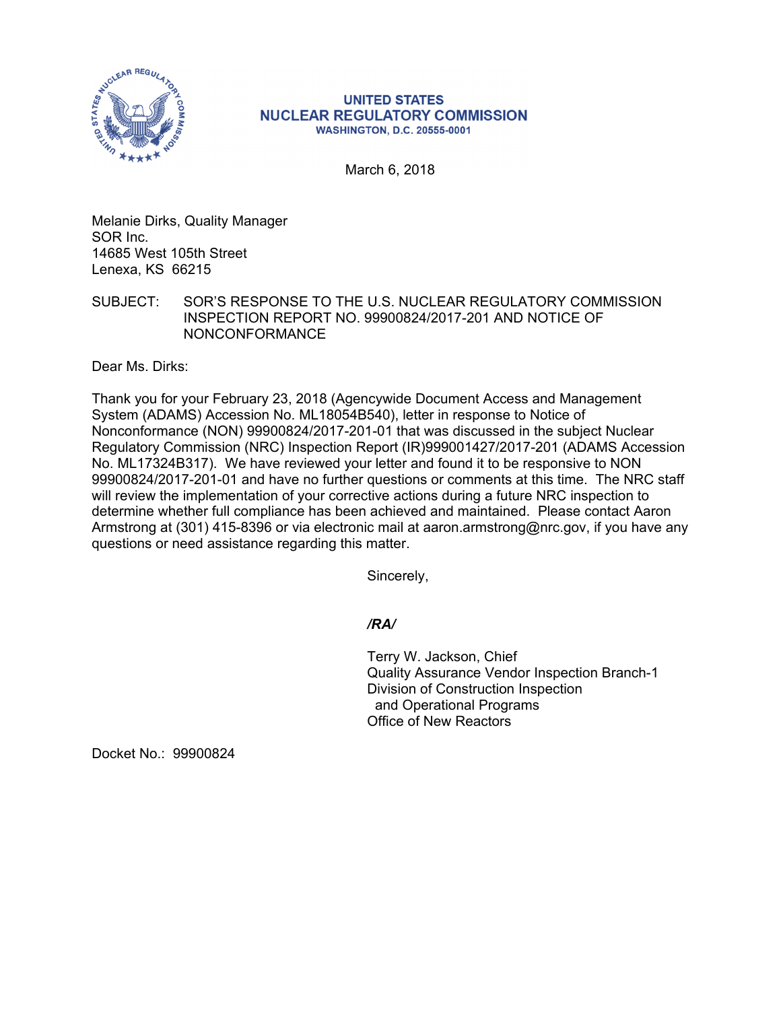

## **UNITED STATES NUCLEAR REGULATORY COMMISSION WASHINGTON, D.C. 20555-0001**

March 6, 2018

Melanie Dirks, Quality Manager SOR Inc. 14685 West 105th Street Lenexa, KS 66215

SUBJECT: SOR'S RESPONSE TO THE U.S. NUCLEAR REGULATORY COMMISSION INSPECTION REPORT NO. 99900824/2017-201 AND NOTICE OF NONCONFORMANCE

Dear Ms. Dirks:

Thank you for your February 23, 2018 (Agencywide Document Access and Management System (ADAMS) Accession No. ML18054B540), letter in response to Notice of Nonconformance (NON) 99900824/2017-201-01 that was discussed in the subject Nuclear Regulatory Commission (NRC) Inspection Report (IR)999001427/2017-201 (ADAMS Accession No. ML17324B317). We have reviewed your letter and found it to be responsive to NON 99900824/2017-201-01 and have no further questions or comments at this time. The NRC staff will review the implementation of your corrective actions during a future NRC inspection to determine whether full compliance has been achieved and maintained. Please contact Aaron Armstrong at (301) 415-8396 or via electronic mail at aaron.armstrong@nrc.gov, if you have any questions or need assistance regarding this matter.

Sincerely,

## */RA/*

Terry W. Jackson, Chief Quality Assurance Vendor Inspection Branch-1 Division of Construction Inspection and Operational Programs Office of New Reactors

Docket No.: 99900824